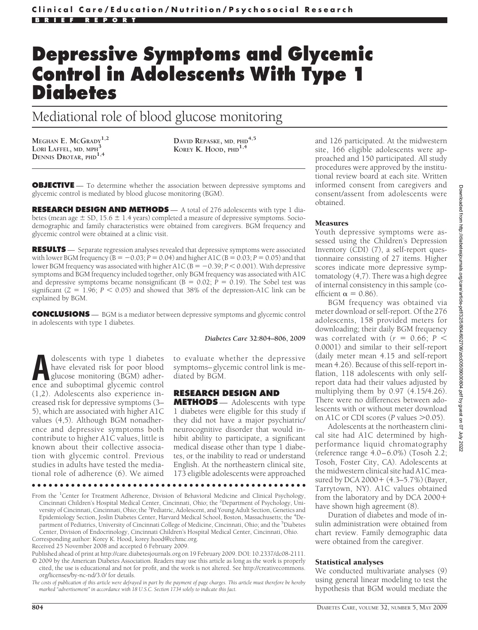# **Depressive Symptoms and Glycemic Control in Adolescents With Type 1 Diabetes**

Mediational role of blood glucose monitoring

**MEGHAN E. MCGRADY1,2 LORI LAFFEL, MD, MPH<sup>3</sup> DENNIS DROTAR, PHD1,4**

**DAVID REPASKE, MD, PHD4,5 KOREY K. HOOD, PHD1,4**

**OBJECTIVE** — To determine whether the association between depressive symptoms and glycemic control is mediated by blood glucose monitoring (BGM).

**RESEARCH DESIGN AND METHODS** — A total of 276 adolescents with type 1 diabetes (mean age  $\pm$  SD, 15.6  $\pm$  1.4 years) completed a measure of depressive symptoms. Sociodemographic and family characteristics were obtained from caregivers. BGM frequency and glycemic control were obtained at a clinic visit.

**RESULTS** — Separate regression analyses revealed that depressive symptoms were associated with lower BGM frequency ( $B = -0.03$ ;  $P = 0.04$ ) and higher A1C ( $B = 0.03$ ;  $P = 0.05$ ) and that lower BGM frequency was associated with higher A1C ( $B = -0.39; P < 0.001$ ). With depressive symptoms and BGM frequency included together, only BGM frequency was associated with A1C and depressive symptoms became nonsignificant  $(B = 0.02; P = 0.19)$ . The Sobel test was significant  $(Z = 1.96; P < 0.05)$  and showed that 38% of the depression-A1C link can be explained by BGM.

**CONCLUSIONS** — BGM is a mediator between depressive symptoms and glycemic control in adolescents with type 1 diabetes.

dolescents with type 1 diabetes<br>have elevated risk for poor blood<br>glucose monitoring (BGM) adher-<br>ence and subontimal elycemic control have elevated risk for poor blood ence and suboptimal glycemic control (1,2). Adolescents also experience increased risk for depressive symptoms (3– 5), which are associated with higher A1C values (4,5). Although BGM nonadherence and depressive symptoms both contribute to higher A1C values, little is known about their collective association with glycemic control. Previous studies in adults have tested the mediational role of adherence (6). We aimed

*Diabetes Care* **32:804–806, 2009**

to evaluate whether the depressive symptoms–glycemic control link is mediated by BGM.

# **RESEARCH DESIGN AND**

**METHODS** — Adolescents with type 1 diabetes were eligible for this study if they did not have a major psychiatric/ neurocognitive disorder that would inhibit ability to participate, a significant medical disease other than type 1 diabetes, or the inability to read or understand English. At the northeastern clinical site, 173 eligible adolescents were approached

●●●●●●●●●●●●●●●●●●●●●●●●●●●●●●●●●●●●●●●●●●●●●●●●●

From the <sup>1</sup>Center for Treatment Adherence, Division of Behavioral Medicine and Clinical Psychology, Cincinnati Children's Hospital Medical Center, Cincinnati, Ohio; the <sup>2</sup>Department of Psychology, University of Cincinnati, Cincinnati, Ohio; the <sup>3</sup>Pediatric, Adolescent, and Young Adult Section, Genetics and Epidemiology Section, Joslin Diabetes Center, Harvard Medical School, Boston, Massachusetts; the <sup>4</sup>Department of Pediatrics, University of Cincinnati College of Medicine, Cincinnati, Ohio; and the <sup>5</sup>Diabetes Center, Division of Endocrinology, Cincinnati Children's Hospital Medical Center, Cincinnati, Ohio.

Corresponding author: Korey K. Hood, korey.hood@cchmc.org.

Received 25 November 2008 and accepted 6 February 2009.

Published ahead of print at http://care.diabetesjournals.org on 19 February 2009. DOI: 10.2337/dc08-2111. © 2009 by the American Diabetes Association. Readers may use this article as long as the work is properly cited, the use is educational and not for profit, and the work is not altered. See http://creativecommons. org/licenses/by-nc-nd/3.0/ for details.

*The costs of publication of this article were defrayed in part by the payment of page charges. This article must therefore be hereby marked "advertisement" in accordance with 18 U.S.C. Section 1734 solely to indicate this fact.*

and 126 participated. At the midwestern site, 166 eligible adolescents were approached and 150 participated. All study procedures were approved by the institutional review board at each site. Written informed consent from caregivers and consent/assent from adolescents were obtained.

### Measures

Youth depressive symptoms were assessed using the Children's Depression Inventory (CDI) (7), a self-report questionnaire consisting of 27 items. Higher scores indicate more depressive symptomatology (4,7). There was a high degree of internal consistency in this sample (coefficient  $\alpha = 0.86$ ).

BGM frequency was obtained via meter download or self-report. Of the 276 adolescents, 158 provided meters for downloading; their daily BGM frequency was correlated with  $(r = 0.66; P <$ 0.0001) and similar to their self-report (daily meter mean 4.15 and self-report mean 4.26). Because of this self-report inflation, 118 adolescents with only selfreport data had their values adjusted by multiplying them by 0.97 (4.15/4.26). There were no differences between adolescents with or without meter download on A1C or CDI scores ( $P$  values  $> 0.05$ ).

Adolescents at the northeastern clinical site had A1C determined by highperformance liquid chromatography (reference range 4.0–6.0%) (Tosoh 2.2; Tosoh, Foster City, CA). Adolescents at the midwestern clinical site had A1C measured by DCA 2000 + (4.3–5.7%) (Bayer, Tarrytown, NY). A1C values obtained from the laboratory and by DCA 2000 have shown high agreement (8).

Duration of diabetes and mode of insulin administration were obtained from chart review. Family demographic data were obtained from the caregiver.

#### Statistical analyses

We conducted multivariate analyses (9) using general linear modeling to test the hypothesis that BGM would mediate the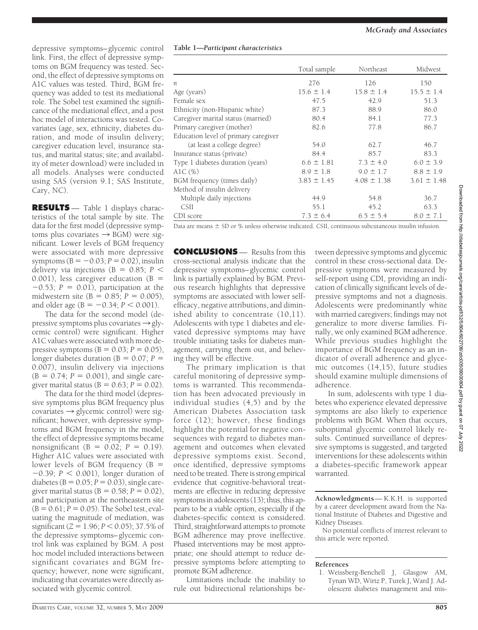depressive symptoms–glycemic control link. First, the effect of depressive symptoms on BGM frequency was tested. Second, the effect of depressive symptoms on A1C values was tested. Third, BGM frequency was added to test its mediational role. The Sobel test examined the significance of the mediational effect, and a post hoc model of interactions was tested. Covariates (age, sex, ethnicity, diabetes duration, and mode of insulin delivery; caregiver education level, insurance status, and marital status; site; and availability of meter download) were included in all models. Analyses were conducted using SAS (version 9.1; SAS Institute, Cary, NC).

**RESULTS** — Table 1 displays characteristics of the total sample by site. The data for the first model (depressive symptoms plus covariates  $\rightarrow$  BGM) were significant. Lower levels of BGM frequency were associated with more depressive symptoms  $(B = -0.03; P = 0.02)$ , insulin delivery via injections ( $B = 0.85$ ;  $P <$ 0.001), less caregiver education ( $B =$  $-0.53$ ;  $P = 0.01$ ), participation at the midwestern site ( $B = 0.85$ ;  $P = 0.005$ ), and older age ( $B = -0.34$ ;  $P < 0.001$ ).

The data for the second model (depressive symptoms plus covariates  $\rightarrow$  glycemic control) were significant. Higher A1C values were associated with more depressive symptoms  $(B = 0.03; P = 0.05)$ , longer diabetes duration ( $B = 0.07$ ;  $P =$ 0.007), insulin delivery via injections  $(B = 0.74; P = 0.001)$ , and single caregiver marital status ( $B = 0.63; P = 0.02$ ).

The data for the third model (depressive symptoms plus BGM frequency plus covariates  $\rightarrow$  glycemic control) were significant; however, with depressive symptoms and BGM frequency in the model, the effect of depressive symptoms became nonsignificant ( $B = 0.02$ ;  $P = 0.19$ ). Higher A1C values were associated with lower levels of BGM frequency  $(B =$  $-0.39$ ;  $P < 0.001$ ), longer duration of diabetes ( $B = 0.05$ ;  $P = 0.03$ ), single caregiver marital status ( $B = 0.58; P = 0.02$ ), and participation at the northeastern site  $(B = 0.61; P = 0.05)$ . The Sobel test, evaluating the magnitude of mediation, was significant ( $Z = 1.96$ ;  $P < 0.05$ ); 37.5% of the depressive symptoms–glycemic control link was explained by BGM. A post hoc model included interactions between significant covariates and BGM frequency; however, none were significant, indicating that covariates were directly associated with glycemic control.

| Table 1-Participant characteristics |  |
|-------------------------------------|--|
|-------------------------------------|--|

|                                      | Total sample    | Northeast       | Midwest         |
|--------------------------------------|-----------------|-----------------|-----------------|
| n.                                   | 276             | 126             | 150             |
| Age (years)                          | $15.6 \pm 1.4$  | $15.8 \pm 1.4$  | $15.5 \pm 1.4$  |
| Female sex                           | 47.5            | 42.9            | 51.3            |
| Ethnicity (non-Hispanic white)       | 87.3            | 88.9            | 86.0            |
| Caregiver marital status (married)   | 80.4            | 84.1            | 77.3            |
| Primary caregiver (mother)           | 82.6            | 77.8            | 86.7            |
| Education level of primary caregiver |                 |                 |                 |
| (at least a college degree)          | 54.0            | 62.7            | 46.7            |
| Insurance status (private)           | 84.4            | 85.7            | 83.3            |
| Type 1 diabetes duration (years)     | $6.6 \pm 1.81$  | $7.3 \pm 4.0$   | $6.0 \pm 3.9$   |
| A1C (%)                              | $8.9 \pm 1.8$   | $9.0 \pm 1.7$   | $8.8 \pm 1.9$   |
| BGM frequency (times daily)          | $3.83 \pm 1.45$ | $4.08 \pm 1.38$ | $3.61 \pm 1.48$ |
| Method of insulin delivery           |                 |                 |                 |
| Multiple daily injections            | 44.9            | 54.8            | 36.7            |
| <b>CSII</b>                          | 55.1            | 45.2            | 63.3            |
| CDI score                            | $7.3 \pm 6.4$   | $6.5 \pm 5.4$   | $8.0 \pm 7.1$   |

Data are means  $\pm$  SD or % unless otherwise indicated. CSII, continuous subcutaneous insulin infusion.

**CONCLUSIONS** — Results from this cross-sectional analysis indicate that the depressive symptoms–glycemic control link is partially explained by BGM. Previous research highlights that depressive symptoms are associated with lower selfefficacy, negative attributions, and diminished ability to concentrate (10,11). Adolescents with type 1 diabetes and elevated depressive symptoms may have trouble initiating tasks for diabetes management, carrying them out, and believing they will be effective.

The primary implication is that careful monitoring of depressive symptoms is warranted. This recommendation has been advocated previously in individual studies (4,5) and by the American Diabetes Association task force (12); however, these findings highlight the potential for negative consequences with regard to diabetes management and outcomes when elevated depressive symptoms exist. Second, once identified, depressive symptoms need to be treated. There is strong empirical evidence that cognitive-behavioral treatments are effective in reducing depressive symptoms in adolescents (13); thus, this appears to be a viable option, especially if the diabetes-specific context is considered. Third, straightforward attempts to promote BGM adherence may prove ineffective. Phased interventions may be most appropriate; one should attempt to reduce depressive symptoms before attempting to promote BGM adherence.

Limitations include the inability to rule out bidirectional relationships between depressive symptoms and glycemic control in these cross-sectional data. Depressive symptoms were measured by self-report using CDI, providing an indication of clinically significant levels of depressive symptoms and not a diagnosis. Adolescents were predominantly white with married caregivers; findings may not generalize to more diverse families. Finally, we only examined BGM adherence. While previous studies highlight the importance of BGM frequency as an indicator of overall adherence and glycemic outcomes (14,15), future studies should examine multiple dimensions of adherence.

In sum, adolescents with type 1 diabetes who experience elevated depressive symptoms are also likely to experience problems with BGM. When that occurs, suboptimal glycemic control likely results. Continued surveillance of depressive symptoms is suggested, and targeted interventions for these adolescents within a diabetes-specific framework appear warranted.

**Acknowledgments**— K.K.H. is supported by a career development award from the National Institute of Diabetes and Digestive and Kidney Diseases.

No potential conflicts of interest relevant to this article were reported.

# **References**

1. Weissberg-Benchell J, Glasgow AM, Tynan WD, Wirtz P, Turek J, Ward J. Adolescent diabetes management and mis-